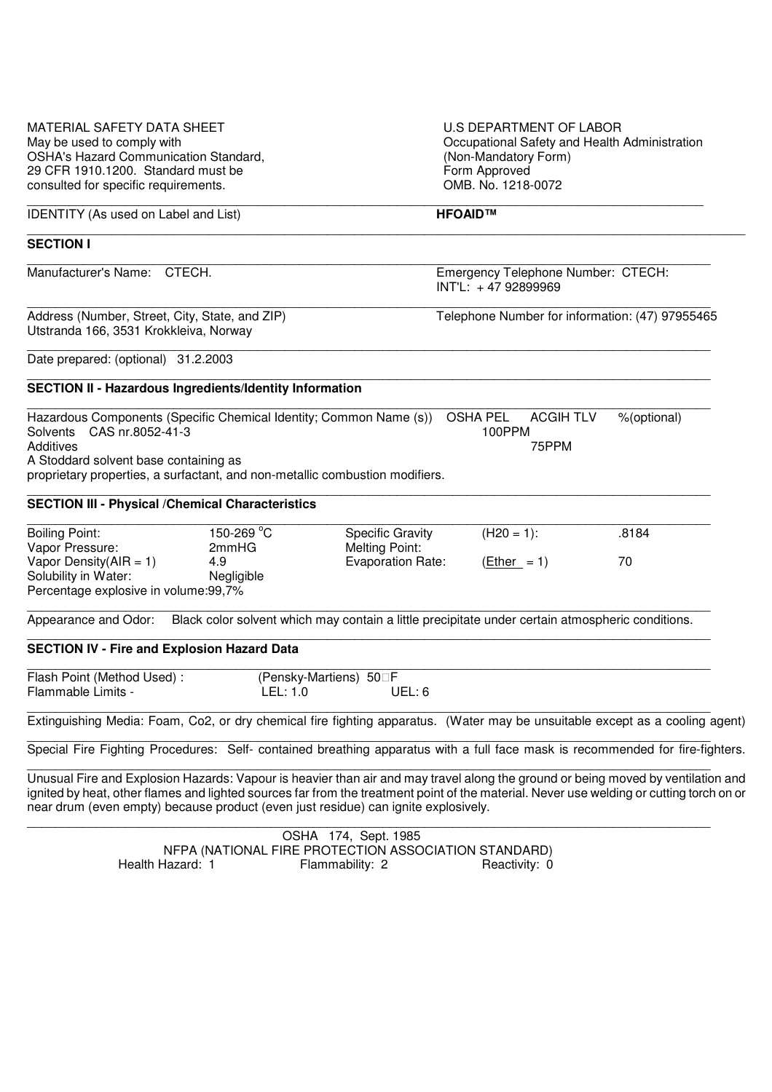| MATERIAL SAFETY DATA SHEET<br>May be used to comply with<br><b>OSHA's Hazard Communication Standard,</b><br>29 CFR 1910.1200. Standard must be<br>consulted for specific requirements.<br>IDENTITY (As used on Label and List)                                                                                                                                     |                                          |                                                                                                  | U.S DEPARTMENT OF LABOR<br>Occupational Safety and Health Administration<br>(Non-Mandatory Form)<br>Form Approved<br>OMB. No. 1218-0072<br>HFOAID™ |                           |             |  |
|--------------------------------------------------------------------------------------------------------------------------------------------------------------------------------------------------------------------------------------------------------------------------------------------------------------------------------------------------------------------|------------------------------------------|--------------------------------------------------------------------------------------------------|----------------------------------------------------------------------------------------------------------------------------------------------------|---------------------------|-------------|--|
|                                                                                                                                                                                                                                                                                                                                                                    |                                          |                                                                                                  |                                                                                                                                                    |                           |             |  |
| Manufacturer's Name:<br>CTECH.                                                                                                                                                                                                                                                                                                                                     |                                          |                                                                                                  | Emergency Telephone Number: CTECH:<br>INT'L: +47 92899969                                                                                          |                           |             |  |
| Address (Number, Street, City, State, and ZIP)<br>Utstranda 166, 3531 Krokkleiva, Norway                                                                                                                                                                                                                                                                           |                                          |                                                                                                  | Telephone Number for information: (47) 97955465                                                                                                    |                           |             |  |
| Date prepared: (optional) 31.2.2003                                                                                                                                                                                                                                                                                                                                |                                          |                                                                                                  |                                                                                                                                                    |                           |             |  |
| <b>SECTION II - Hazardous Ingredients/Identity Information</b>                                                                                                                                                                                                                                                                                                     |                                          |                                                                                                  |                                                                                                                                                    |                           |             |  |
| Hazardous Components (Specific Chemical Identity; Common Name (s))<br>Solvents CAS nr.8052-41-3<br>Additives<br>A Stoddard solvent base containing as<br>proprietary properties, a surfactant, and non-metallic combustion modifiers.                                                                                                                              |                                          |                                                                                                  | <b>OSHA PEL</b><br>100PPM                                                                                                                          | <b>ACGIH TLV</b><br>75PPM | %(optional) |  |
| <b>SECTION III - Physical / Chemical Characteristics</b>                                                                                                                                                                                                                                                                                                           |                                          |                                                                                                  |                                                                                                                                                    |                           |             |  |
| <b>Boiling Point:</b><br>Vapor Pressure:<br>Vapor Density( $AIR = 1$ )<br>Solubility in Water:<br>Percentage explosive in volume:99,7%                                                                                                                                                                                                                             | 150-269 °C<br>2mmHG<br>4.9<br>Negligible | <b>Specific Gravity</b><br><b>Melting Point:</b><br><b>Evaporation Rate:</b>                     | $(H20 = 1):$<br>$(Ether = 1)$                                                                                                                      |                           | .8184<br>70 |  |
| Appearance and Odor:                                                                                                                                                                                                                                                                                                                                               |                                          | Black color solvent which may contain a little precipitate under certain atmospheric conditions. |                                                                                                                                                    |                           |             |  |
| <b>SECTION IV - Fire and Explosion Hazard Data</b>                                                                                                                                                                                                                                                                                                                 |                                          |                                                                                                  |                                                                                                                                                    |                           |             |  |
| Flash Point (Method Used):<br>Flammable Limits -                                                                                                                                                                                                                                                                                                                   | LEL: 1.0                                 | (Pensky-Martiens) 50 F<br>UEL: 6                                                                 |                                                                                                                                                    |                           |             |  |
| Extinguishing Media: Foam, Co2, or dry chemical fire fighting apparatus. (Water may be unsuitable except as a cooling agent)                                                                                                                                                                                                                                       |                                          |                                                                                                  |                                                                                                                                                    |                           |             |  |
| Special Fire Fighting Procedures: Self- contained breathing apparatus with a full face mask is recommended for fire-fighters.                                                                                                                                                                                                                                      |                                          |                                                                                                  |                                                                                                                                                    |                           |             |  |
| Unusual Fire and Explosion Hazards: Vapour is heavier than air and may travel along the ground or being moved by ventilation and<br>ignited by heat, other flames and lighted sources far from the treatment point of the material. Never use welding or cutting torch on or<br>near drum (even empty) because product (even just residue) can ignite explosively. |                                          |                                                                                                  |                                                                                                                                                    |                           |             |  |

 OSHA 174, Sept. 1985 NFPA (NATIONAL FIRE PROTECTION ASSOCIATION STANDARD) Health Hazard: 1 **Flammability: 2** Reactivity: 0